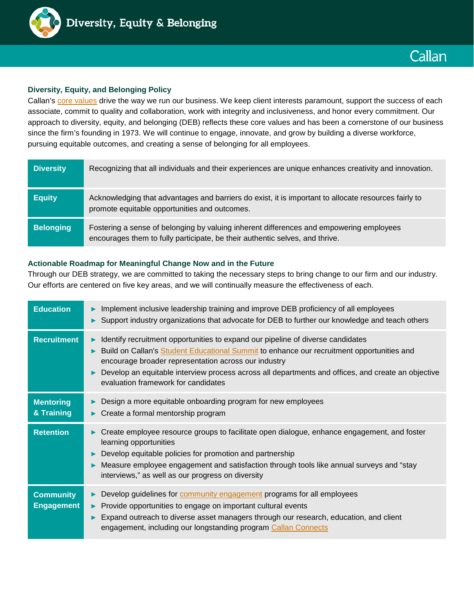

## **Diversity, Equity, and Belonging Policy**

Callan's [core values](https://www.callan.com/why-callan/) drive the way we run our business. We keep client interests paramount, support the success of each associate, commit to quality and collaboration, work with integrity and inclusiveness, and honor every commitment. Our approach to diversity, equity, and belonging (DEB) reflects these core values and has been a cornerstone of our business since the firm's founding in 1973. We will continue to engage, innovate, and grow by building a diverse workforce, pursuing equitable outcomes, and creating a sense of belonging for all employees.

| <b>Diversity</b> | Recognizing that all individuals and their experiences are unique enhances creativity and innovation.                                                                   |
|------------------|-------------------------------------------------------------------------------------------------------------------------------------------------------------------------|
| <b>Equity</b>    | Acknowledging that advantages and barriers do exist, it is important to allocate resources fairly to<br>promote equitable opportunities and outcomes.                   |
| <b>Belonging</b> | Fostering a sense of belonging by valuing inherent differences and empowering employees<br>encourages them to fully participate, be their authentic selves, and thrive. |

## **Actionable Roadmap for Meaningful Change Now and in the Future**

Through our DEB strategy, we are committed to taking the necessary steps to bring change to our firm and our industry. Our efforts are centered on five key areas, and we will continually measure the effectiveness of each.

| <b>Education</b>                      | Implement inclusive leadership training and improve DEB proficiency of all employees<br>Support industry organizations that advocate for DEB to further our knowledge and teach others                                                                                                                                                                                            |
|---------------------------------------|-----------------------------------------------------------------------------------------------------------------------------------------------------------------------------------------------------------------------------------------------------------------------------------------------------------------------------------------------------------------------------------|
| <b>Recruitment</b>                    | Identify recruitment opportunities to expand our pipeline of diverse candidates<br>Build on Callan's Student Educational Summit to enhance our recruitment opportunities and<br>encourage broader representation across our industry<br>Develop an equitable interview process across all departments and offices, and create an objective<br>evaluation framework for candidates |
| <b>Mentoring</b><br>& Training        | Design a more equitable onboarding program for new employees<br>Create a formal mentorship program                                                                                                                                                                                                                                                                                |
| <b>Retention</b>                      | Create employee resource groups to facilitate open dialogue, enhance engagement, and foster<br>learning opportunities<br>Develop equitable policies for promotion and partnership<br>Measure employee engagement and satisfaction through tools like annual surveys and "stay<br>interviews," as well as our progress on diversity                                                |
| <b>Community</b><br><b>Engagement</b> | Develop guidelines for <b>community</b> engagement programs for all employees<br>Provide opportunities to engage on important cultural events<br>$\blacktriangleright$<br>Expand outreach to diverse asset managers through our research, education, and client<br>engagement, including our longstanding program Callan Connects                                                 |